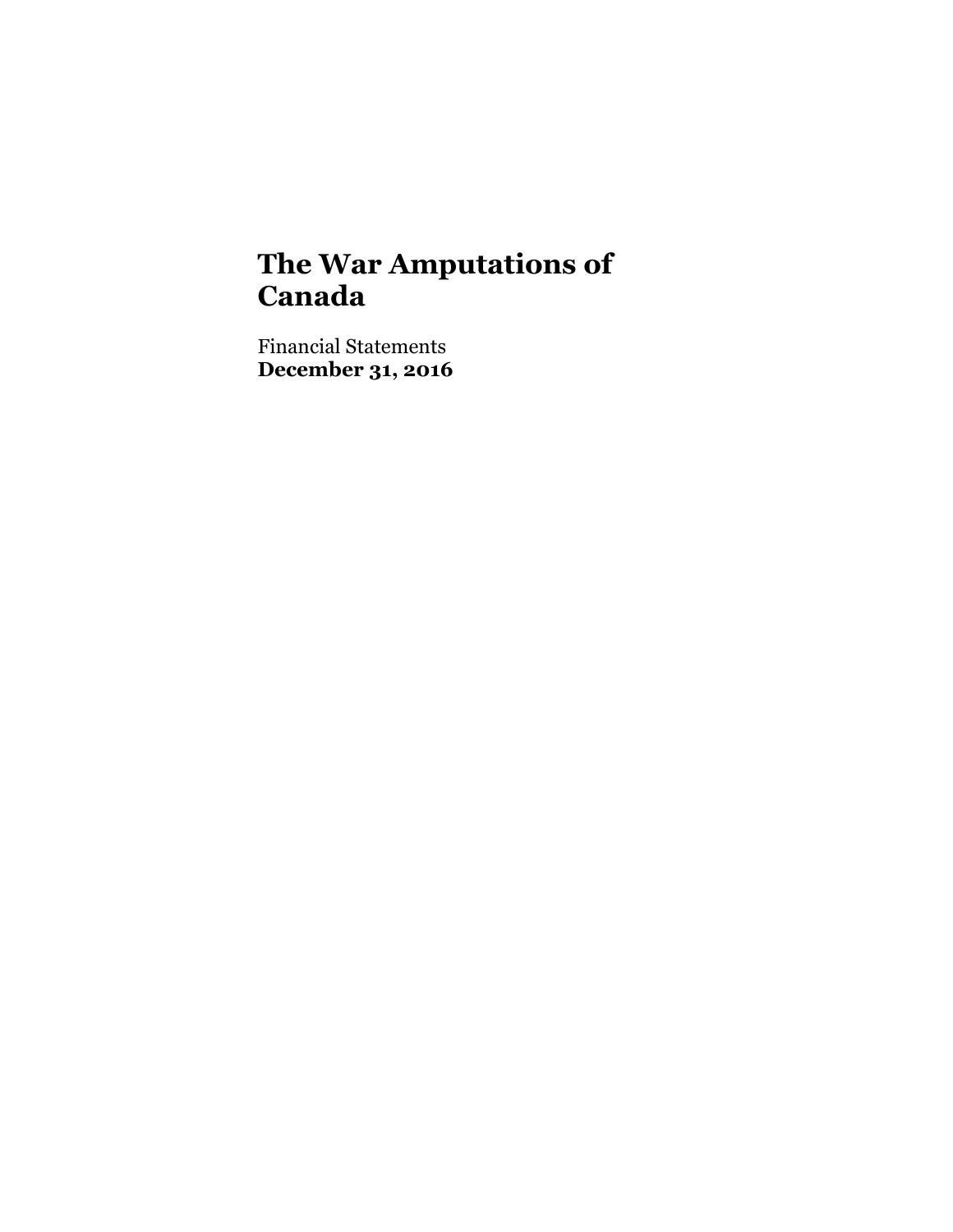Financial Statements **December 31, 2016**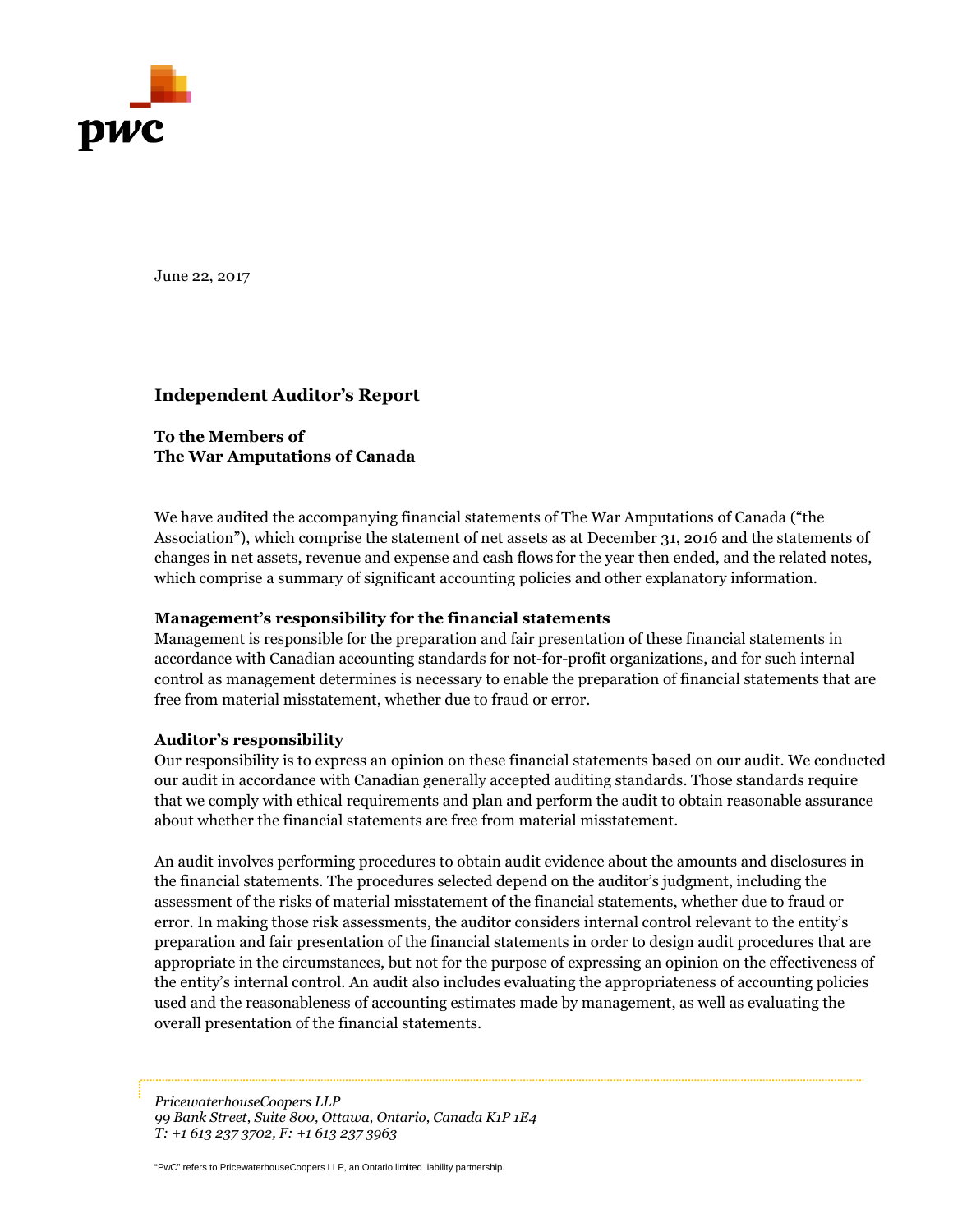

June 22, 2017

### **Independent Auditor's Report**

**To the Members of The War Amputations of Canada**

We have audited the accompanying financial statements of The War Amputations of Canada ("the Association"), which comprise the statement of net assets as at December 31, 2016 and the statements of changes in net assets, revenue and expense and cash flows for the year then ended, and the related notes, which comprise a summary of significant accounting policies and other explanatory information.

#### **Management's responsibility for the financial statements**

Management is responsible for the preparation and fair presentation of these financial statements in accordance with Canadian accounting standards for not-for-profit organizations, and for such internal control as management determines is necessary to enable the preparation of financial statements that are free from material misstatement, whether due to fraud or error.

#### **Auditor's responsibility**

Our responsibility is to express an opinion on these financial statements based on our audit. We conducted our audit in accordance with Canadian generally accepted auditing standards. Those standards require that we comply with ethical requirements and plan and perform the audit to obtain reasonable assurance about whether the financial statements are free from material misstatement.

An audit involves performing procedures to obtain audit evidence about the amounts and disclosures in the financial statements. The procedures selected depend on the auditor's judgment, including the assessment of the risks of material misstatement of the financial statements, whether due to fraud or error. In making those risk assessments, the auditor considers internal control relevant to the entity's preparation and fair presentation of the financial statements in order to design audit procedures that are appropriate in the circumstances, but not for the purpose of expressing an opinion on the effectiveness of the entity's internal control. An audit also includes evaluating the appropriateness of accounting policies used and the reasonableness of accounting estimates made by management, as well as evaluating the overall presentation of the financial statements.

*PricewaterhouseCoopers LLP 99 Bank Street, Suite 800, Ottawa, Ontario, Canada K1P 1E4 T: +1 613 237 3702, F: +1 613 237 3963* 

"PwC" refers to PricewaterhouseCoopers LLP, an Ontario limited liability partnership.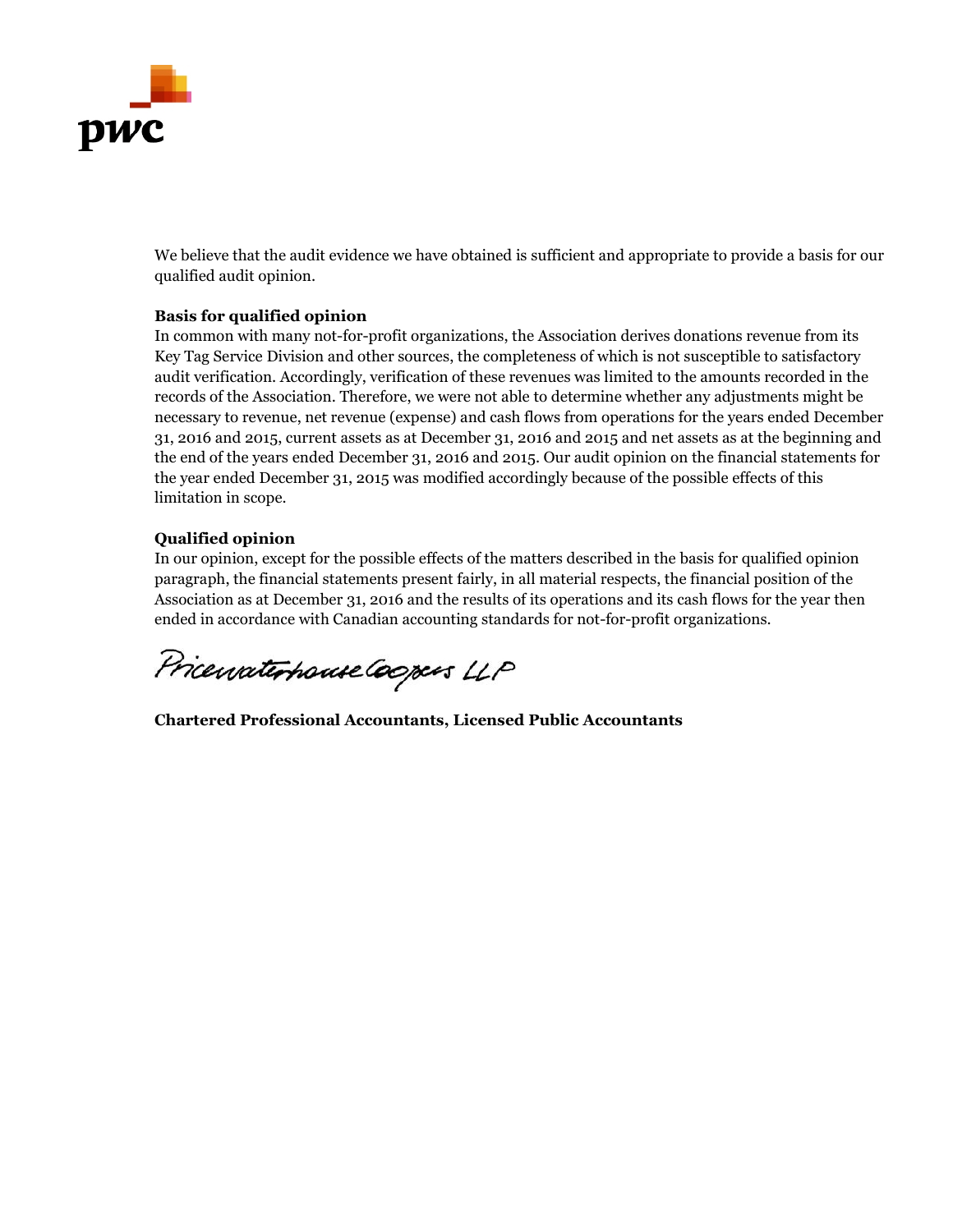

We believe that the audit evidence we have obtained is sufficient and appropriate to provide a basis for our qualified audit opinion.

#### **Basis for qualified opinion**

In common with many not-for-profit organizations, the Association derives donations revenue from its Key Tag Service Division and other sources, the completeness of which is not susceptible to satisfactory audit verification. Accordingly, verification of these revenues was limited to the amounts recorded in the records of the Association. Therefore, we were not able to determine whether any adjustments might be necessary to revenue, net revenue (expense) and cash flows from operations for the years ended December 31, 2016 and 2015, current assets as at December 31, 2016 and 2015 and net assets as at the beginning and the end of the years ended December 31, 2016 and 2015. Our audit opinion on the financial statements for the year ended December 31, 2015 was modified accordingly because of the possible effects of this limitation in scope.

#### **Qualified opinion**

In our opinion, except for the possible effects of the matters described in the basis for qualified opinion paragraph, the financial statements present fairly, in all material respects, the financial position of the Association as at December 31, 2016 and the results of its operations and its cash flows for the year then ended in accordance with Canadian accounting standards for not-for-profit organizations.

Pricewaterhouse Coopers LLP

**Chartered Professional Accountants, Licensed Public Accountants**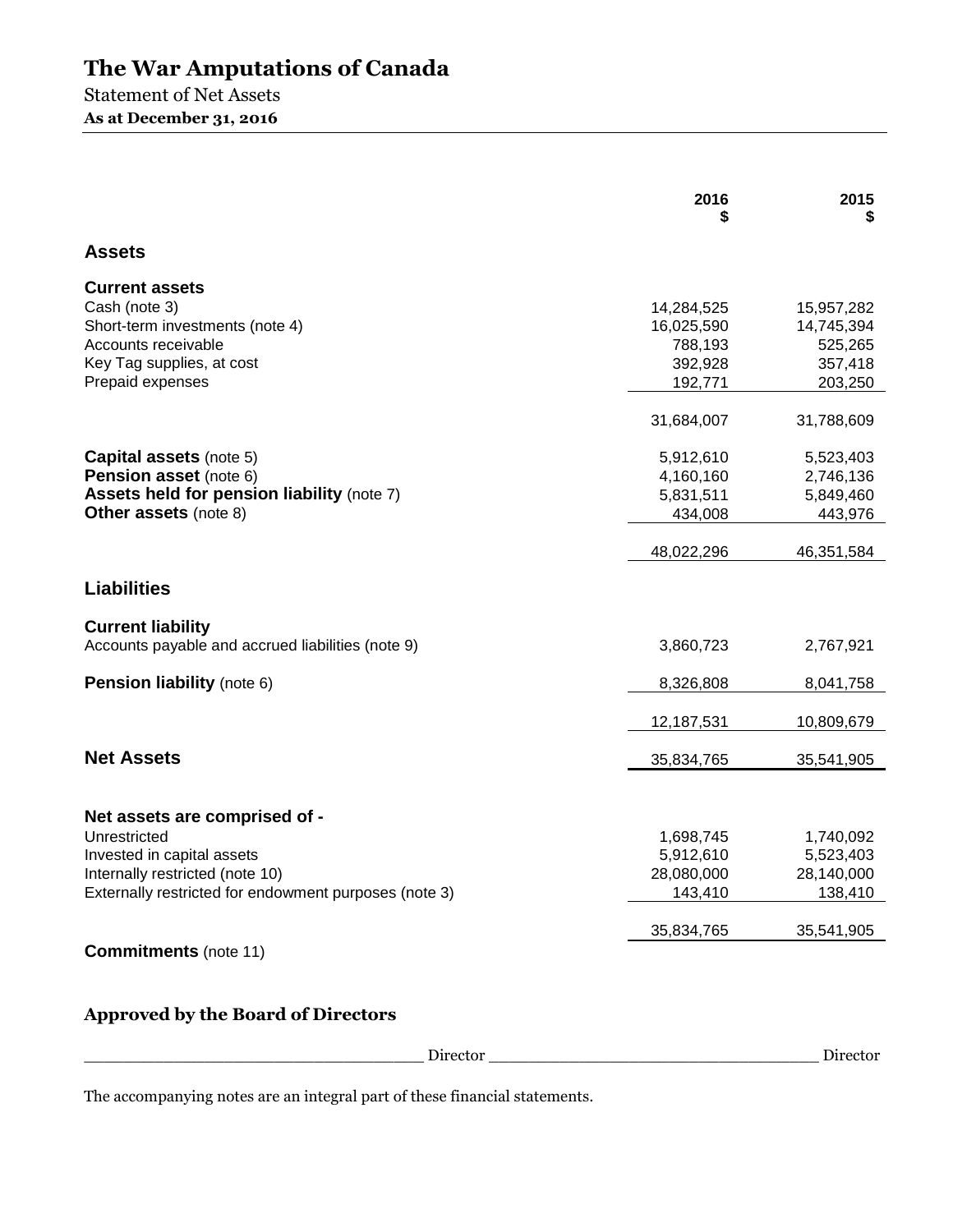Statement of Net Assets **As at December 31, 2016** 

|                                                                                          | 2016                     | 2015<br>S                |
|------------------------------------------------------------------------------------------|--------------------------|--------------------------|
| <b>Assets</b>                                                                            |                          |                          |
| <b>Current assets</b><br>Cash (note 3)<br>Short-term investments (note 4)                | 14,284,525<br>16,025,590 | 15,957,282<br>14,745,394 |
| Accounts receivable                                                                      | 788,193                  | 525,265                  |
| Key Tag supplies, at cost                                                                | 392,928                  | 357,418                  |
| Prepaid expenses                                                                         | 192,771                  | 203,250                  |
|                                                                                          | 31,684,007               | 31,788,609               |
| <b>Capital assets (note 5)</b>                                                           | 5,912,610                | 5,523,403                |
| <b>Pension asset</b> (note 6)                                                            | 4,160,160                | 2,746,136                |
| <b>Assets held for pension liability (note 7)</b><br><b>Other assets (note 8)</b>        | 5,831,511<br>434,008     | 5,849,460                |
|                                                                                          |                          | 443,976                  |
|                                                                                          | 48,022,296               | 46,351,584               |
| <b>Liabilities</b>                                                                       |                          |                          |
| <b>Current liability</b>                                                                 |                          |                          |
| Accounts payable and accrued liabilities (note 9)                                        | 3,860,723                | 2,767,921                |
| <b>Pension liability</b> (note 6)                                                        | 8,326,808                | 8,041,758                |
|                                                                                          | 12,187,531               | 10,809,679               |
| <b>Net Assets</b>                                                                        | 35,834,765               | 35,541,905               |
|                                                                                          |                          |                          |
| Net assets are comprised of -                                                            |                          |                          |
| Unrestricted                                                                             | 1,698,745                | 1,740,092                |
| Invested in capital assets                                                               | 5,912,610                | 5,523,403                |
| Internally restricted (note 10)<br>Externally restricted for endowment purposes (note 3) | 28,080,000<br>143,410    | 28,140,000<br>138,410    |
|                                                                                          |                          |                          |
|                                                                                          | 35,834,765               | 35,541,905               |
| <b>Commitments</b> (note 11)                                                             |                          |                          |
|                                                                                          |                          |                          |

## **Approved by the Board of Directors**

| $\overline{\phantom{a}}$<br>.<br>71 |  |
|-------------------------------------|--|
|                                     |  |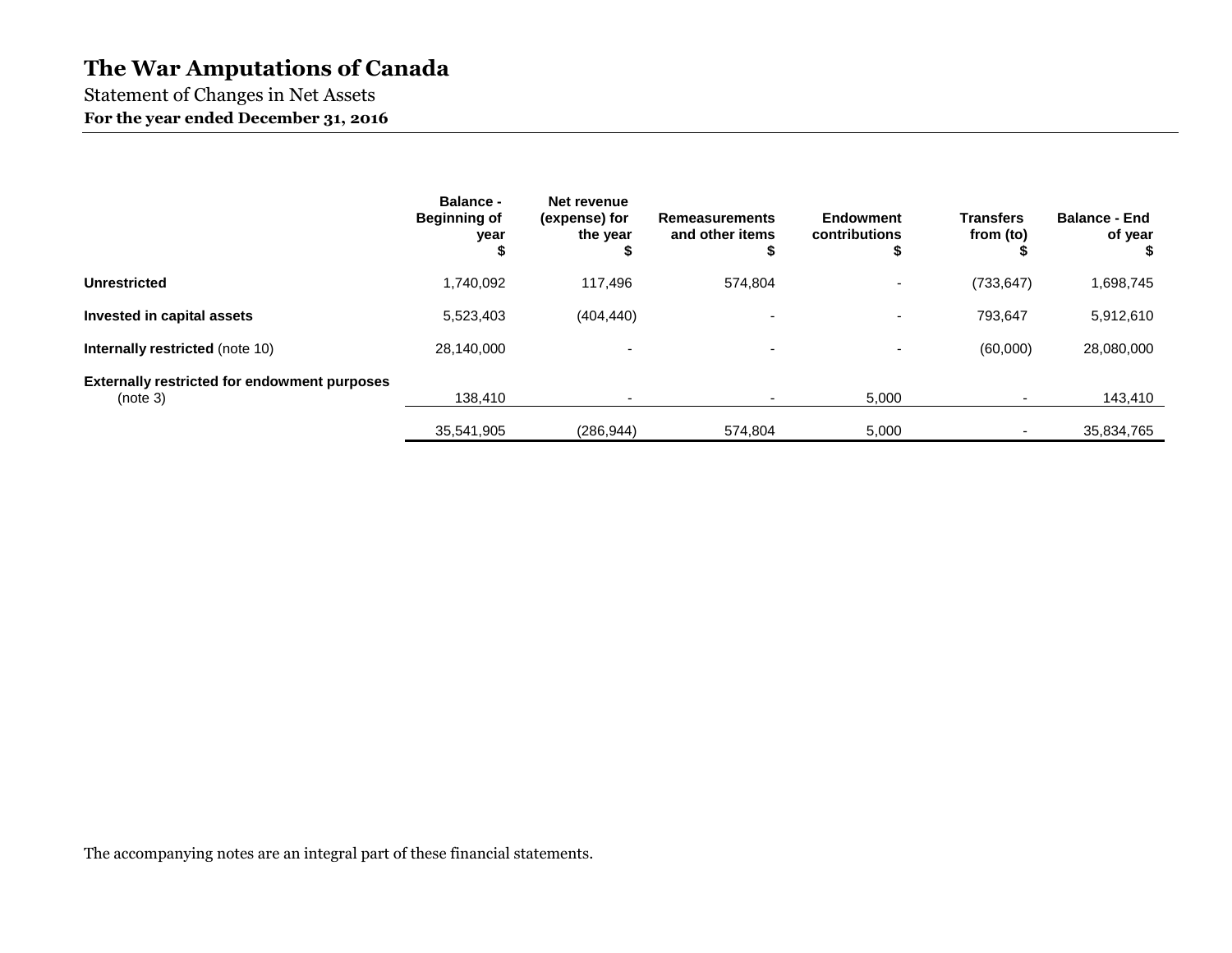Statement of Changes in Net Assets **For the year ended December 31, 2016** 

|                                                                 | <b>Balance -</b><br><b>Beginning of</b><br>year<br>э | Net revenue<br>(expense) for<br>the year<br>л | <b>Remeasurements</b><br>and other items<br>-11 | <b>Endowment</b><br>contributions | <b>Transfers</b><br>from (to) | <b>Balance - End</b><br>of year |
|-----------------------------------------------------------------|------------------------------------------------------|-----------------------------------------------|-------------------------------------------------|-----------------------------------|-------------------------------|---------------------------------|
| <b>Unrestricted</b>                                             | 1,740,092                                            | 117.496                                       | 574.804                                         | $\overline{\phantom{0}}$          | (733, 647)                    | 1,698,745                       |
| Invested in capital assets                                      | 5,523,403                                            | (404, 440)                                    | $\overline{\phantom{a}}$                        | $\sim$                            | 793.647                       | 5,912,610                       |
| <b>Internally restricted</b> (note 10)                          | 28,140,000                                           |                                               | $\overline{\phantom{a}}$                        | $\overline{\phantom{0}}$          | (60,000)                      | 28,080,000                      |
| <b>Externally restricted for endowment purposes</b><br>(note 3) | 138,410                                              |                                               |                                                 | 5,000                             |                               | 143,410                         |
|                                                                 | 35,541,905                                           | (286, 944)                                    | 574.804                                         | 5,000                             |                               | 35,834,765                      |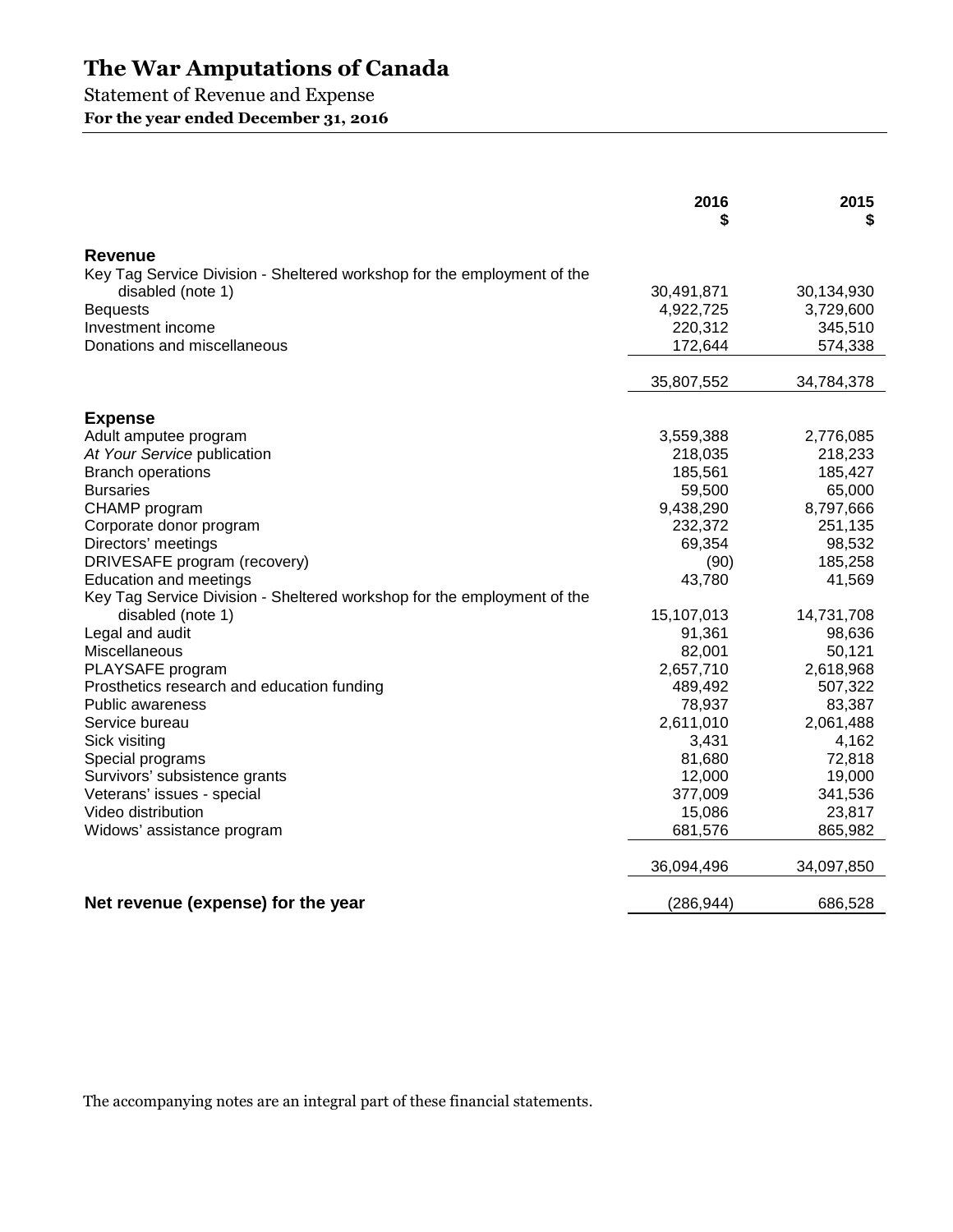Statement of Revenue and Expense

**For the year ended December 31, 2016** 

|                                                                         | 2016       | 2015<br>S  |
|-------------------------------------------------------------------------|------------|------------|
| <b>Revenue</b>                                                          |            |            |
| Key Tag Service Division - Sheltered workshop for the employment of the |            |            |
| disabled (note 1)                                                       | 30,491,871 | 30,134,930 |
| <b>Bequests</b>                                                         | 4,922,725  | 3,729,600  |
| Investment income                                                       | 220,312    | 345,510    |
| Donations and miscellaneous                                             | 172,644    | 574,338    |
|                                                                         |            |            |
|                                                                         | 35,807,552 | 34,784,378 |
| <b>Expense</b>                                                          |            |            |
| Adult amputee program                                                   | 3,559,388  | 2,776,085  |
| At Your Service publication                                             | 218,035    | 218,233    |
| <b>Branch operations</b>                                                | 185,561    | 185,427    |
| <b>Bursaries</b>                                                        | 59,500     | 65,000     |
| CHAMP program                                                           | 9,438,290  | 8,797,666  |
| Corporate donor program                                                 | 232,372    | 251,135    |
| Directors' meetings                                                     | 69,354     | 98,532     |
| DRIVESAFE program (recovery)                                            | (90)       | 185,258    |
| <b>Education and meetings</b>                                           | 43,780     | 41,569     |
| Key Tag Service Division - Sheltered workshop for the employment of the |            |            |
| disabled (note 1)                                                       | 15,107,013 | 14,731,708 |
| Legal and audit                                                         | 91,361     | 98,636     |
| Miscellaneous                                                           | 82,001     | 50,121     |
| PLAYSAFE program                                                        | 2,657,710  | 2,618,968  |
| Prosthetics research and education funding                              | 489,492    | 507,322    |
| <b>Public awareness</b>                                                 | 78,937     | 83,387     |
| Service bureau                                                          | 2,611,010  | 2,061,488  |
| Sick visiting                                                           | 3,431      | 4,162      |
| Special programs                                                        | 81,680     | 72,818     |
| Survivors' subsistence grants                                           | 12,000     | 19,000     |
| Veterans' issues - special                                              | 377,009    | 341,536    |
| Video distribution                                                      | 15,086     | 23,817     |
| Widows' assistance program                                              | 681,576    | 865,982    |
|                                                                         | 36,094,496 | 34,097,850 |
| Net revenue (expense) for the year                                      | (286, 944) | 686,528    |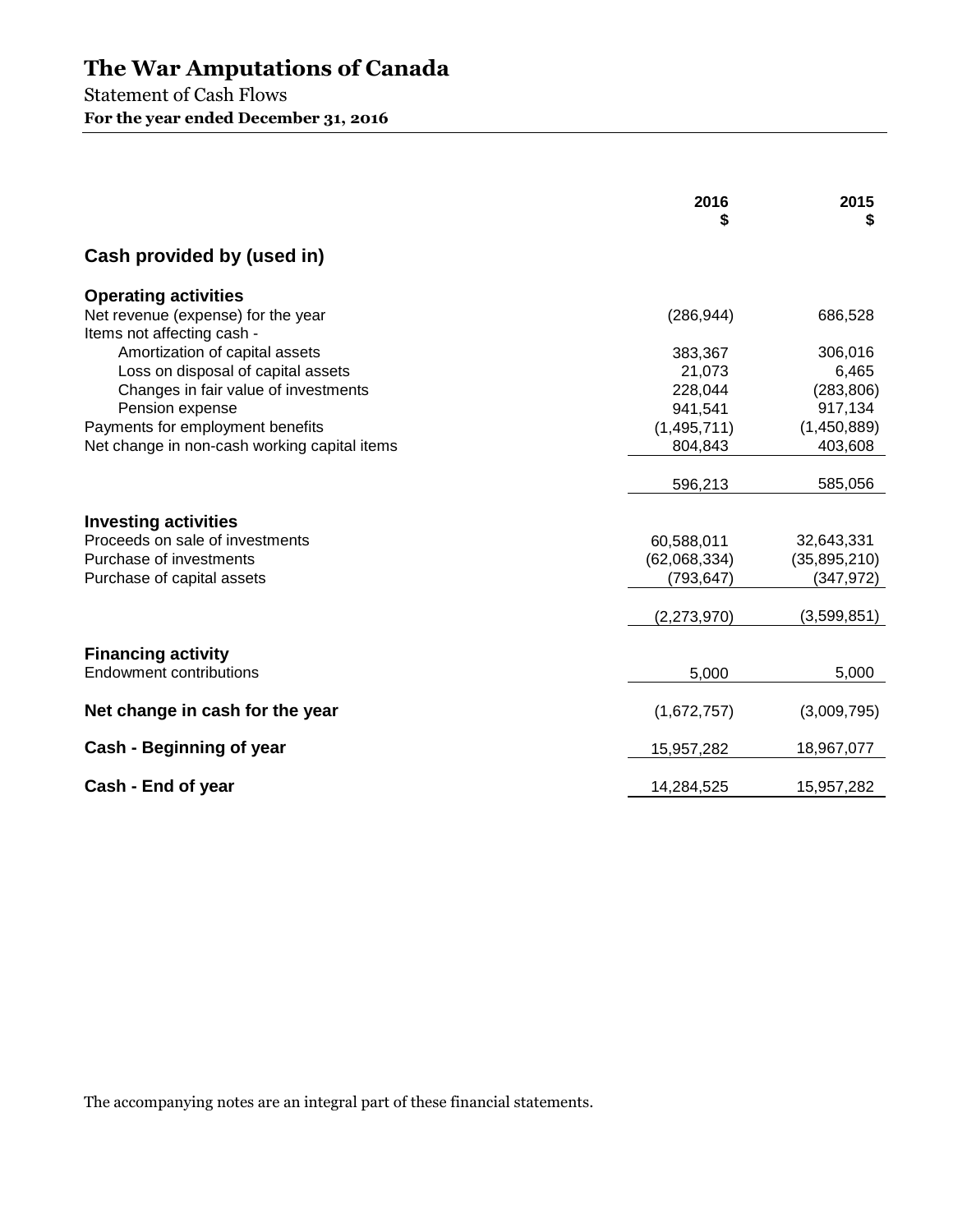Statement of Cash Flows **For the year ended December 31, 2016** 

|                                                                  | 2016          | 2015<br>\$   |
|------------------------------------------------------------------|---------------|--------------|
| Cash provided by (used in)                                       |               |              |
| <b>Operating activities</b>                                      |               |              |
| Net revenue (expense) for the year<br>Items not affecting cash - | (286, 944)    | 686,528      |
| Amortization of capital assets                                   | 383,367       | 306,016      |
| Loss on disposal of capital assets                               | 21,073        | 6,465        |
| Changes in fair value of investments                             | 228,044       | (283, 806)   |
| Pension expense                                                  | 941,541       | 917,134      |
| Payments for employment benefits                                 | (1,495,711)   | (1,450,889)  |
| Net change in non-cash working capital items                     | 804,843       | 403,608      |
|                                                                  | 596,213       | 585,056      |
| <b>Investing activities</b>                                      |               |              |
| Proceeds on sale of investments                                  | 60,588,011    | 32,643,331   |
| Purchase of investments                                          | (62,068,334)  | (35,895,210) |
| Purchase of capital assets                                       | (793, 647)    | (347, 972)   |
|                                                                  | (2, 273, 970) | (3,599,851)  |
| <b>Financing activity</b>                                        |               |              |
| <b>Endowment contributions</b>                                   | 5,000         | 5,000        |
| Net change in cash for the year                                  | (1,672,757)   | (3,009,795)  |
| Cash - Beginning of year                                         | 15,957,282    | 18,967,077   |
| Cash - End of year                                               | 14,284,525    | 15,957,282   |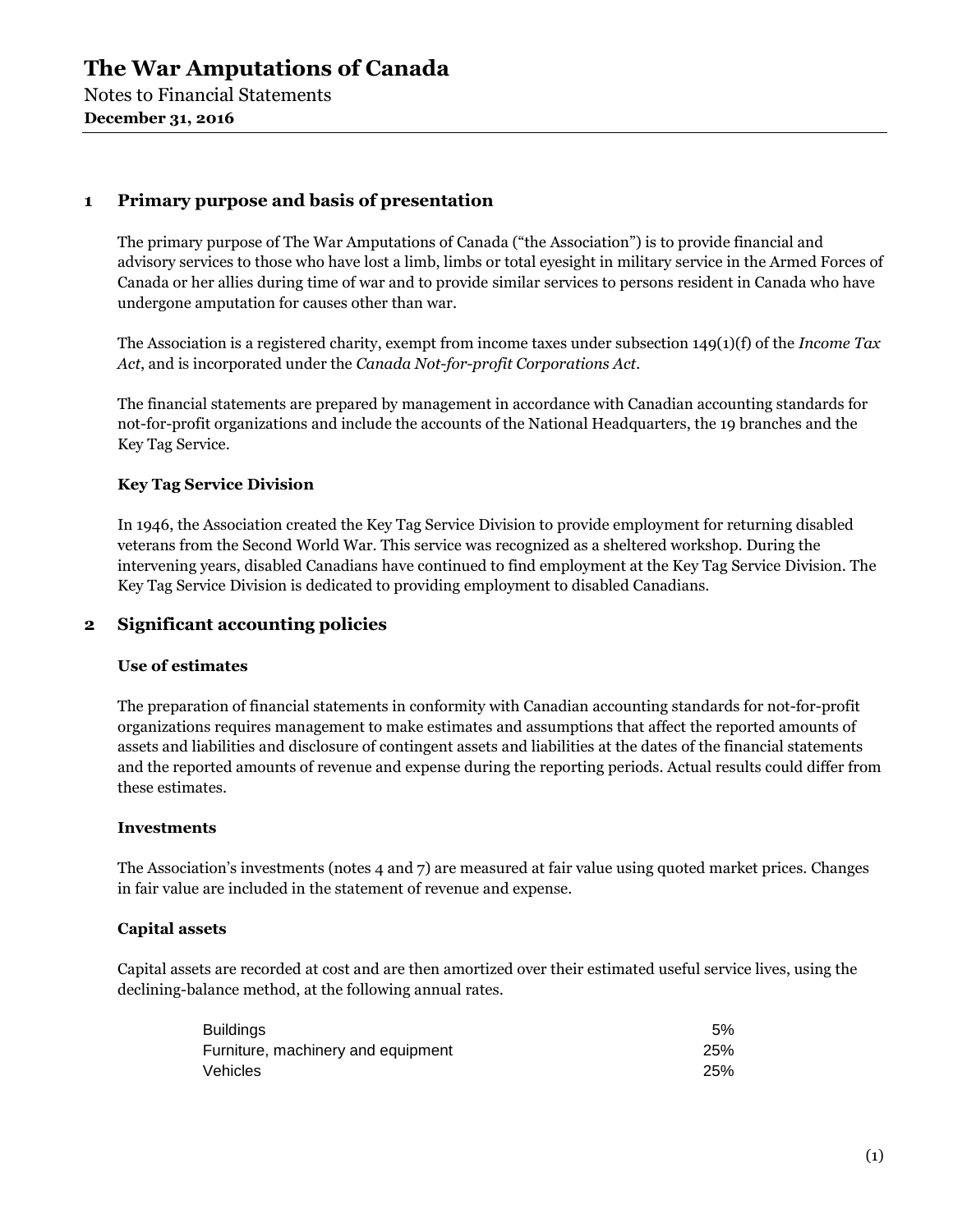## **1 Primary purpose and basis of presentation**

The primary purpose of The War Amputations of Canada ("the Association") is to provide financial and advisory services to those who have lost a limb, limbs or total eyesight in military service in the Armed Forces of Canada or her allies during time of war and to provide similar services to persons resident in Canada who have undergone amputation for causes other than war.

The Association is a registered charity, exempt from income taxes under subsection 149(1)(f) of the *Income Tax Act*, and is incorporated under the *Canada Not-for-profit Corporations Act.*

The financial statements are prepared by management in accordance with Canadian accounting standards for not-for-profit organizations and include the accounts of the National Headquarters, the 19 branches and the Key Tag Service.

#### **Key Tag Service Division**

In 1946, the Association created the Key Tag Service Division to provide employment for returning disabled veterans from the Second World War. This service was recognized as a sheltered workshop. During the intervening years, disabled Canadians have continued to find employment at the Key Tag Service Division. The Key Tag Service Division is dedicated to providing employment to disabled Canadians.

#### **2 Significant accounting policies**

#### **Use of estimates**

The preparation of financial statements in conformity with Canadian accounting standards for not-for-profit organizations requires management to make estimates and assumptions that affect the reported amounts of assets and liabilities and disclosure of contingent assets and liabilities at the dates of the financial statements and the reported amounts of revenue and expense during the reporting periods. Actual results could differ from these estimates.

#### **Investments**

The Association's investments (notes 4 and 7) are measured at fair value using quoted market prices. Changes in fair value are included in the statement of revenue and expense.

#### **Capital assets**

Capital assets are recorded at cost and are then amortized over their estimated useful service lives, using the declining-balance method, at the following annual rates.

| <b>Buildings</b>                   | 5%  |
|------------------------------------|-----|
| Furniture, machinery and equipment | 25% |
| <b>Vehicles</b>                    | 25% |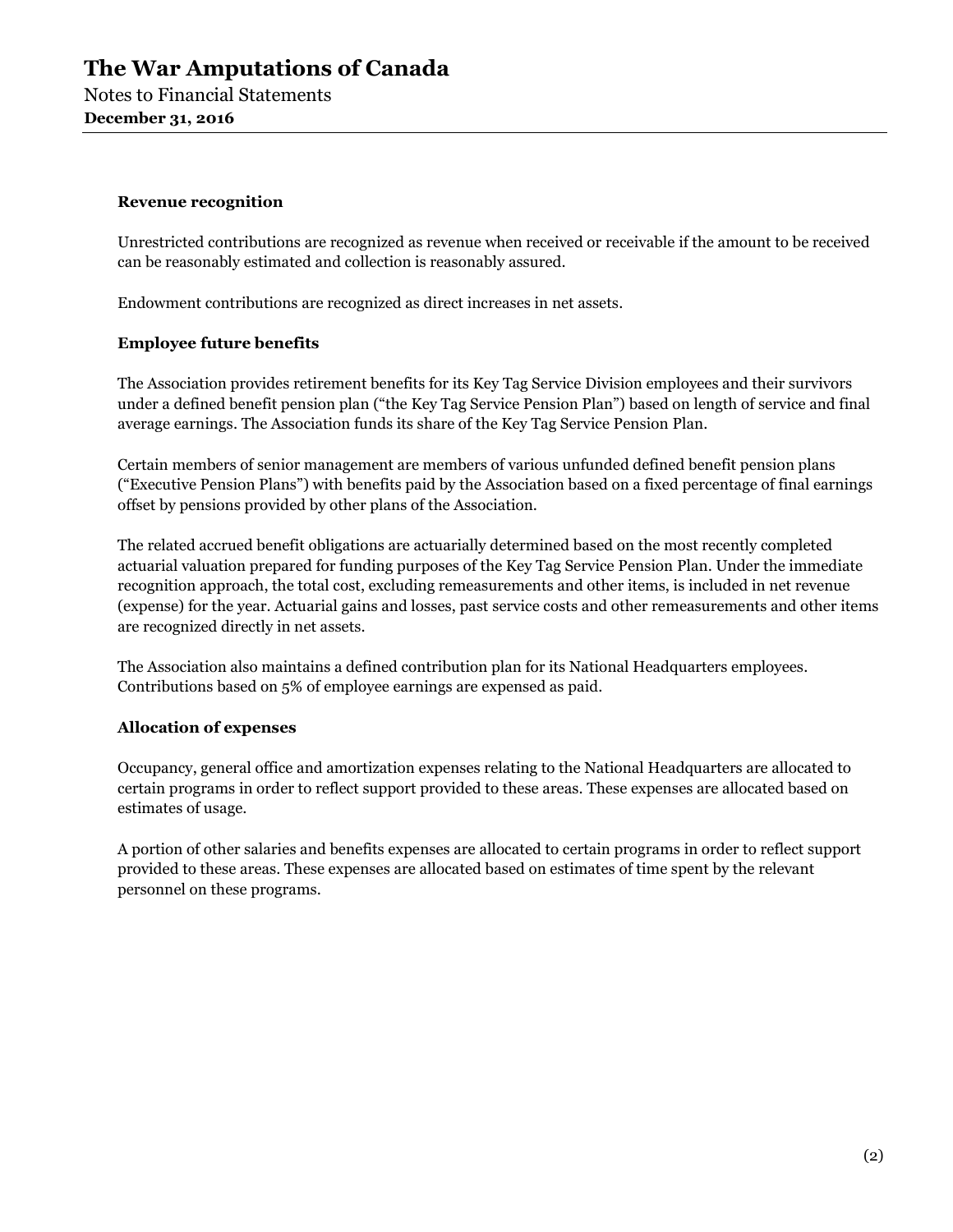Notes to Financial Statements **December 31, 2016** 

### **Revenue recognition**

Unrestricted contributions are recognized as revenue when received or receivable if the amount to be received can be reasonably estimated and collection is reasonably assured.

Endowment contributions are recognized as direct increases in net assets.

## **Employee future benefits**

The Association provides retirement benefits for its Key Tag Service Division employees and their survivors under a defined benefit pension plan ("the Key Tag Service Pension Plan") based on length of service and final average earnings. The Association funds its share of the Key Tag Service Pension Plan.

Certain members of senior management are members of various unfunded defined benefit pension plans ("Executive Pension Plans") with benefits paid by the Association based on a fixed percentage of final earnings offset by pensions provided by other plans of the Association.

The related accrued benefit obligations are actuarially determined based on the most recently completed actuarial valuation prepared for funding purposes of the Key Tag Service Pension Plan. Under the immediate recognition approach, the total cost, excluding remeasurements and other items, is included in net revenue (expense) for the year. Actuarial gains and losses, past service costs and other remeasurements and other items are recognized directly in net assets.

The Association also maintains a defined contribution plan for its National Headquarters employees. Contributions based on 5% of employee earnings are expensed as paid.

## **Allocation of expenses**

Occupancy, general office and amortization expenses relating to the National Headquarters are allocated to certain programs in order to reflect support provided to these areas. These expenses are allocated based on estimates of usage.

A portion of other salaries and benefits expenses are allocated to certain programs in order to reflect support provided to these areas. These expenses are allocated based on estimates of time spent by the relevant personnel on these programs.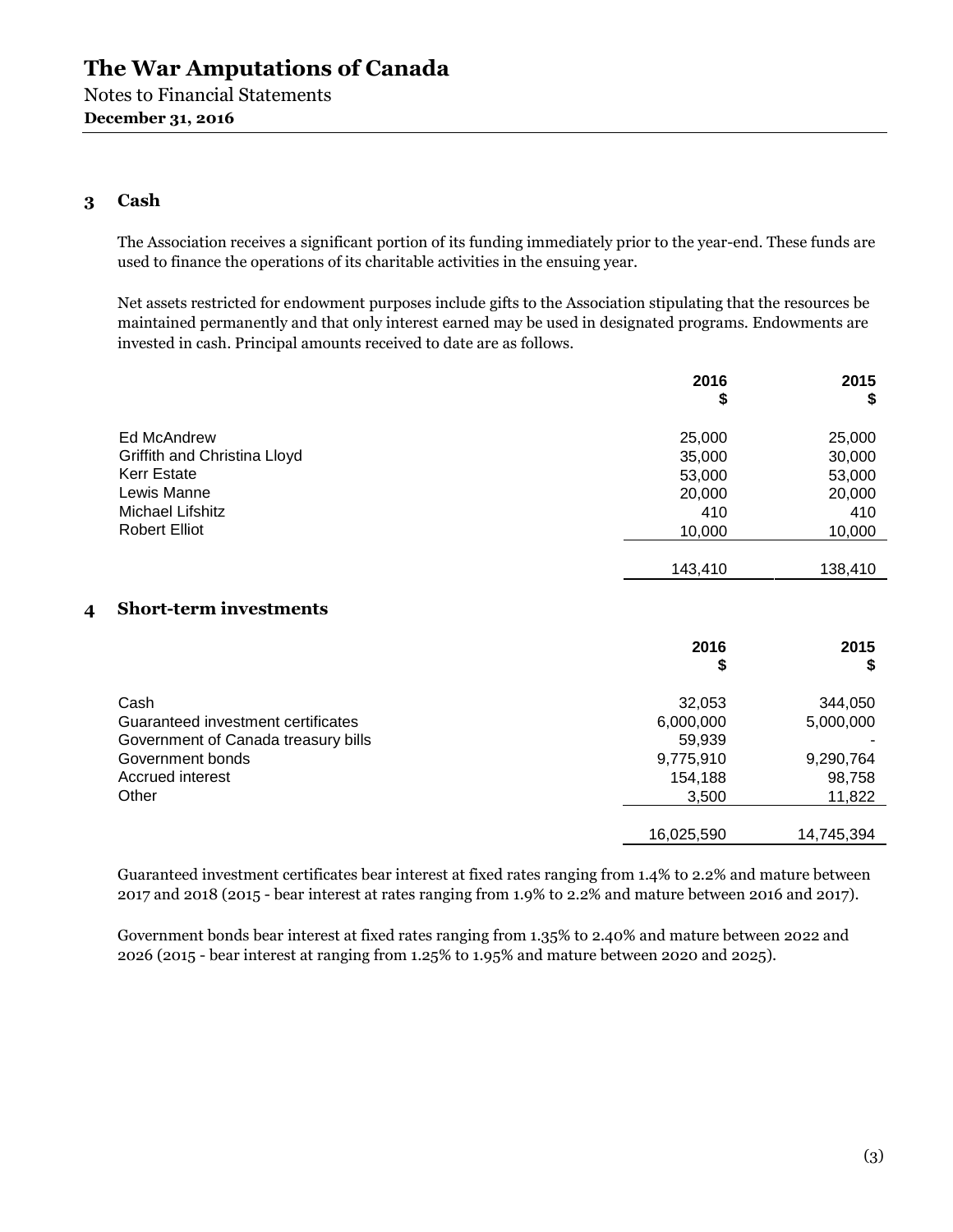Notes to Financial Statements **December 31, 2016** 

## **3 Cash**

The Association receives a significant portion of its funding immediately prior to the year-end. These funds are used to finance the operations of its charitable activities in the ensuing year.

Net assets restricted for endowment purposes include gifts to the Association stipulating that the resources be maintained permanently and that only interest earned may be used in designated programs. Endowments are invested in cash. Principal amounts received to date are as follows.

|                              | 2016<br>\$ | 2015<br>\$ |
|------------------------------|------------|------------|
| Ed McAndrew                  | 25,000     | 25,000     |
| Griffith and Christina Lloyd | 35,000     | 30,000     |
| Kerr Estate                  | 53,000     | 53,000     |
| Lewis Manne                  | 20,000     | 20,000     |
| Michael Lifshitz             | 410        | 410        |
| <b>Robert Elliot</b>         | 10,000     | 10,000     |
|                              | 143.410    | 138.410    |

### **4 Short-term investments**

|                                     | 2016<br>\$ | 2015<br>5  |
|-------------------------------------|------------|------------|
| Cash                                | 32,053     | 344,050    |
| Guaranteed investment certificates  | 6,000,000  | 5,000,000  |
| Government of Canada treasury bills | 59,939     |            |
| Government bonds                    | 9,775,910  | 9,290,764  |
| Accrued interest                    | 154,188    | 98,758     |
| Other                               | 3,500      | 11,822     |
|                                     |            |            |
|                                     | 16,025,590 | 14,745,394 |

Guaranteed investment certificates bear interest at fixed rates ranging from 1.4% to 2.2% and mature between 2017 and 2018 (2015 - bear interest at rates ranging from 1.9% to 2.2% and mature between 2016 and 2017).

Government bonds bear interest at fixed rates ranging from 1.35% to 2.40% and mature between 2022 and 2026 (2015 - bear interest at ranging from 1.25% to 1.95% and mature between 2020 and 2025).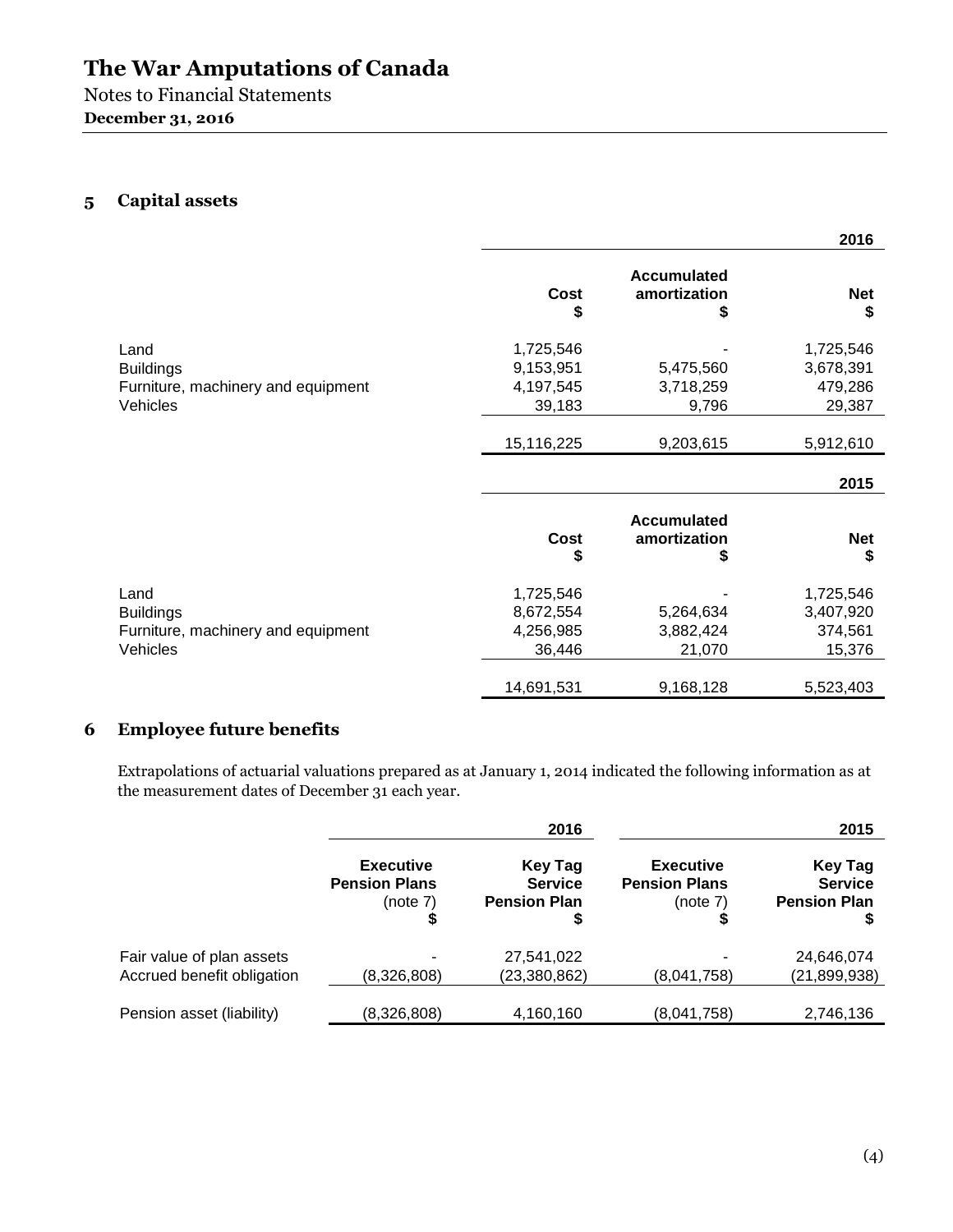Notes to Financial Statements **December 31, 2016** 

## **5 Capital assets**

|                                    |            |                                          | 2016             |
|------------------------------------|------------|------------------------------------------|------------------|
|                                    | Cost<br>\$ | <b>Accumulated</b><br>amortization<br>\$ | <b>Net</b><br>\$ |
| Land                               | 1,725,546  |                                          | 1,725,546        |
| <b>Buildings</b>                   | 9,153,951  | 5,475,560                                | 3,678,391        |
| Furniture, machinery and equipment | 4,197,545  | 3,718,259                                | 479,286          |
| Vehicles                           | 39,183     | 9,796                                    | 29,387           |
|                                    | 15,116,225 | 9,203,615                                | 5,912,610        |
|                                    |            |                                          | 2015             |
|                                    | Cost<br>\$ | <b>Accumulated</b><br>amortization<br>\$ | <b>Net</b><br>\$ |
|                                    |            |                                          |                  |
| Land                               | 1,725,546  |                                          | 1,725,546        |
| <b>Buildings</b>                   | 8,672,554  | 5,264,634                                | 3,407,920        |
| Furniture, machinery and equipment | 4,256,985  | 3,882,424                                | 374,561          |
| Vehicles                           | 36,446     | 21,070                                   | 15,376           |
|                                    | 14,691,531 | 9,168,128                                | 5,523,403        |

## **6 Employee future benefits**

Extrapolations of actuarial valuations prepared as at January 1, 2014 indicated the following information as at the measurement dates of December 31 each year.

|                                                         |                                                      | 2016                                                    |                                                      | 2015                                                    |
|---------------------------------------------------------|------------------------------------------------------|---------------------------------------------------------|------------------------------------------------------|---------------------------------------------------------|
|                                                         | <b>Executive</b><br><b>Pension Plans</b><br>(note 7) | <b>Key Tag</b><br><b>Service</b><br><b>Pension Plan</b> | <b>Executive</b><br><b>Pension Plans</b><br>(note 7) | <b>Key Tag</b><br><b>Service</b><br><b>Pension Plan</b> |
| Fair value of plan assets<br>Accrued benefit obligation | (8,326,808)                                          | 27,541,022<br>(23,380,862)                              | (8,041,758)                                          | 24,646,074<br>(21, 899, 938)                            |
| Pension asset (liability)                               | (8,326,808)                                          | 4,160,160                                               | (8,041,758)                                          | 2,746,136                                               |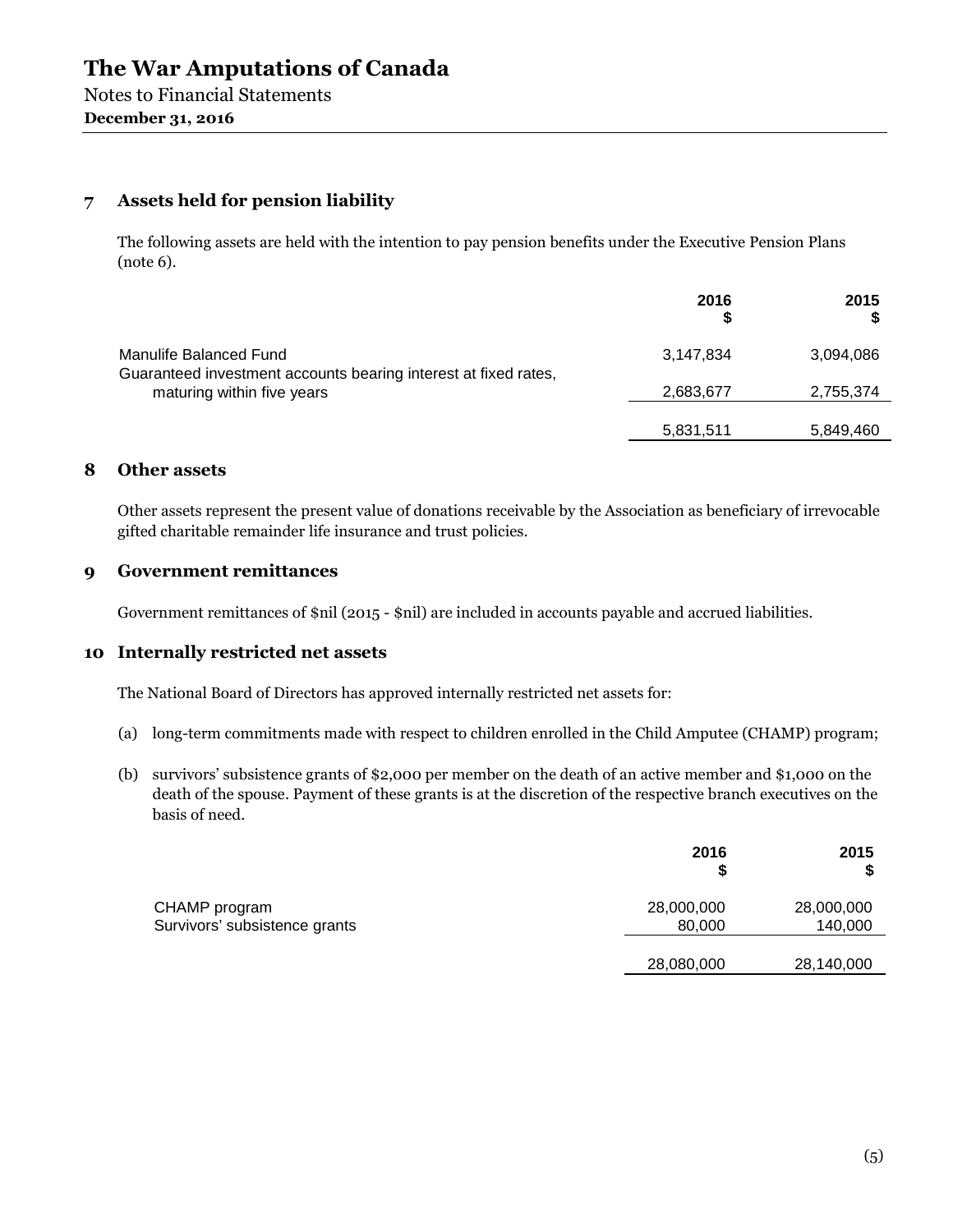#### **December 31, 2016**

#### **7 Assets held for pension liability**

The following assets are held with the intention to pay pension benefits under the Executive Pension Plans (note 6).

|                                                                                           | 2016      | 2015<br>S. |
|-------------------------------------------------------------------------------------------|-----------|------------|
| Manulife Balanced Fund<br>Guaranteed investment accounts bearing interest at fixed rates, | 3,147,834 | 3,094,086  |
| maturing within five years                                                                | 2,683,677 | 2,755,374  |
|                                                                                           | 5,831,511 | 5,849,460  |

#### **8 Other assets**

Other assets represent the present value of donations receivable by the Association as beneficiary of irrevocable gifted charitable remainder life insurance and trust policies.

#### **9 Government remittances**

Government remittances of \$nil (2015 - \$nil) are included in accounts payable and accrued liabilities.

#### **10 Internally restricted net assets**

The National Board of Directors has approved internally restricted net assets for:

- (a) long-term commitments made with respect to children enrolled in the Child Amputee (CHAMP) program;
- (b) survivors' subsistence grants of \$2,000 per member on the death of an active member and \$1,000 on the death of the spouse. Payment of these grants is at the discretion of the respective branch executives on the basis of need.

|                                                | 2016                 | 2015                  |
|------------------------------------------------|----------------------|-----------------------|
| CHAMP program<br>Survivors' subsistence grants | 28,000,000<br>80,000 | 28,000,000<br>140,000 |
|                                                | 28,080,000           | 28,140,000            |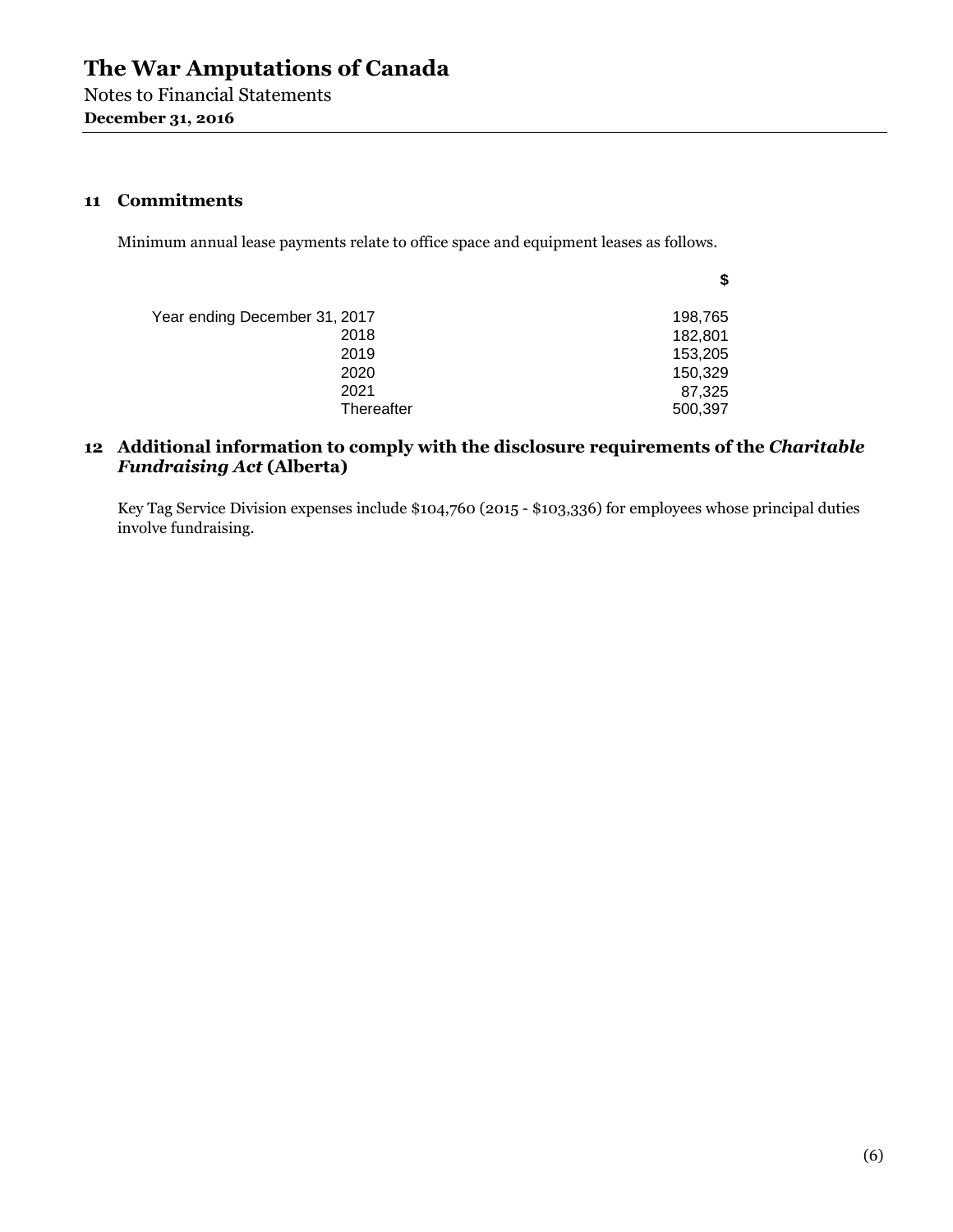### **11 Commitments**

Minimum annual lease payments relate to office space and equipment leases as follows.

| Year ending December 31, 2017 | 198,765 |
|-------------------------------|---------|
| 2018                          | 182,801 |
| 2019                          | 153,205 |
| 2020                          | 150.329 |
| 2021                          | 87,325  |
| Thereafter                    | 500,397 |

## 12 Additional information to comply with the disclosure requirements of the *Charitable Fundraising Act* **(Alberta)**

Key Tag Service Division expenses include \$104,760 (2015 - \$103,336) for employees whose principal duties involve fundraising.

**\$**